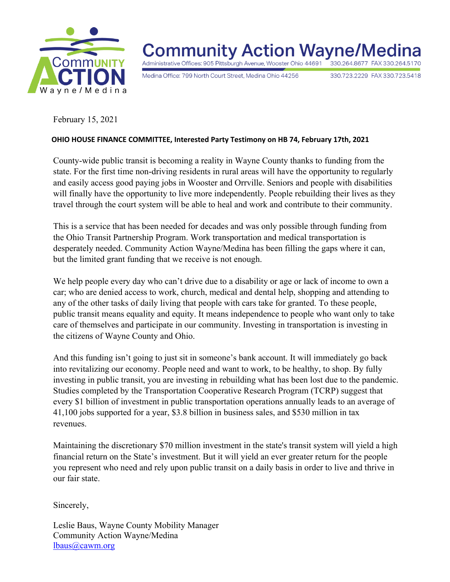

**Community Action Wayne/Med** Administrative Offices: 905 Pittsburgh Avenue, Wooster Ohio 44691 330.264.8677 FAX 330.264.5170

Medina Office: 799 North Court Street, Medina Ohio 44256

330.723.2229 FAX 330.723.5418

February 15, 2021

## **OHIO HOUSE FINANCE COMMITTEE, Interested Party Testimony on HB 74, February 17th, 2021**

County-wide public transit is becoming a reality in Wayne County thanks to funding from the state. For the first time non-driving residents in rural areas will have the opportunity to regularly and easily access good paying jobs in Wooster and Orrville. Seniors and people with disabilities will finally have the opportunity to live more independently. People rebuilding their lives as they travel through the court system will be able to heal and work and contribute to their community.

This is a service that has been needed for decades and was only possible through funding from the Ohio Transit Partnership Program. Work transportation and medical transportation is desperately needed. Community Action Wayne/Medina has been filling the gaps where it can, but the limited grant funding that we receive is not enough.

We help people every day who can't drive due to a disability or age or lack of income to own a car; who are denied access to work, church, medical and dental help, shopping and attending to any of the other tasks of daily living that people with cars take for granted. To these people, public transit means equality and equity. It means independence to people who want only to take care of themselves and participate in our community. Investing in transportation is investing in the citizens of Wayne County and Ohio.

And this funding isn't going to just sit in someone's bank account. It will immediately go back into revitalizing our economy. People need and want to work, to be healthy, to shop. By fully investing in public transit, you are investing in rebuilding what has been lost due to the pandemic. Studies completed by the Transportation Cooperative Research Program (TCRP) suggest that every \$1 billion of investment in public transportation operations annually leads to an average of 41,100 jobs supported for a year, \$3.8 billion in business sales, and \$530 million in tax revenues.

Maintaining the discretionary \$70 million investment in the state's transit system will yield a high financial return on the State's investment. But it will yield an ever greater return for the people you represent who need and rely upon public transit on a daily basis in order to live and thrive in our fair state.

Sincerely,

Leslie Baus, Wayne County Mobility Manager Community Action Wayne/Medina lbaus@cawm.org